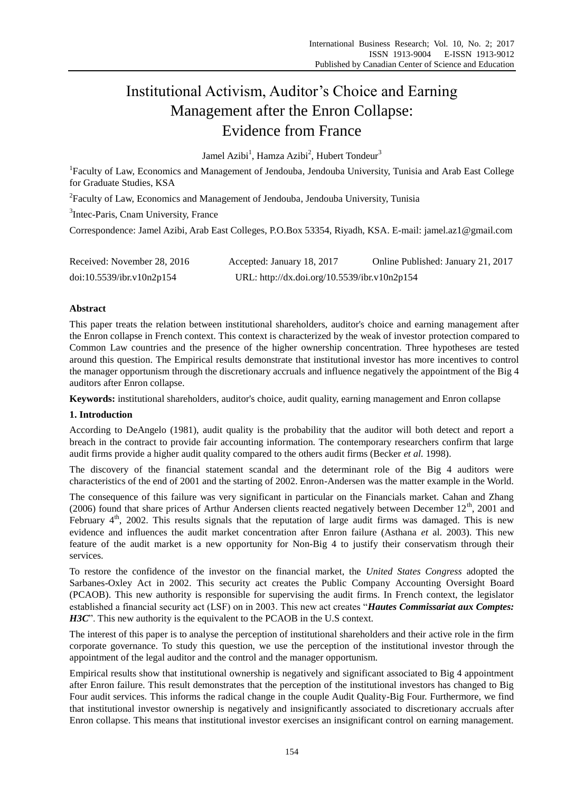# Institutional Activism, Auditor's Choice and Earning Management after the Enron Collapse: Evidence from France

Jamel Azibi<sup>1</sup>, Hamza Azibi<sup>2</sup>, Hubert Tondeur<sup>3</sup>

<sup>1</sup>Faculty of Law, Economics and Management of Jendouba, Jendouba University, Tunisia and Arab East College for Graduate Studies, KSA

 $^{2}$ Faculty of Law, Economics and Management of Jendouba, Jendouba University, Tunisia

<sup>3</sup>Intec-Paris, Cnam University, France

Correspondence: Jamel Azibi, Arab East Colleges, P.O.Box 53354, Riyadh, KSA. E-mail: jamel.az1@gmail.com

| Received: November 28, 2016 | Accepted: January 18, 2017                   | Online Published: January 21, 2017 |
|-----------------------------|----------------------------------------------|------------------------------------|
| doi:10.5539/ibr.v10n2p154   | URL: http://dx.doi.org/10.5539/ibr.v10n2p154 |                                    |

# **Abstract**

This paper treats the relation between institutional shareholders, auditor's choice and earning management after the Enron collapse in French context. This context is characterized by the weak of investor protection compared to Common Law countries and the presence of the higher ownership concentration. Three hypotheses are tested around this question. The Empirical results demonstrate that institutional investor has more incentives to control the manager opportunism through the discretionary accruals and influence negatively the appointment of the Big 4 auditors after Enron collapse.

**Keywords:** institutional shareholders, auditor's choice, audit quality, earning management and Enron collapse

## **1. Introduction**

According to DeAngelo (1981), audit quality is the probability that the auditor will both detect and report a breach in the contract to provide fair accounting information. The contemporary researchers confirm that large audit firms provide a higher audit quality compared to the others audit firms (Becker *et al.* 1998).

The discovery of the financial statement scandal and the determinant role of the Big 4 auditors were characteristics of the end of 2001 and the starting of 2002. Enron-Andersen was the matter example in the World.

The consequence of this failure was very significant in particular on the Financials market. Cahan and Zhang (2006) found that share prices of Arthur Andersen clients reacted negatively between December  $12<sup>th</sup>$ , 2001 and February  $4<sup>th</sup>$ , 2002. This results signals that the reputation of large audit firms was damaged. This is new evidence and influences the audit market concentration after Enron failure (Asthana *et* al. 2003). This new feature of the audit market is a new opportunity for Non-Big 4 to justify their conservatism through their services.

To restore the confidence of the investor on the financial market, the *United States Congress* adopted the Sarbanes-Oxley Act in 2002. This security act creates the Public Company Accounting Oversight Board (PCAOB). This new authority is responsible for supervising the audit firms. In French context, the legislator established a financial security act (LSF) on in 2003. This new act creates "*Hautes Commissariat aux Comptes: H3C*". This new authority is the equivalent to the PCAOB in the U.S context.

The interest of this paper is to analyse the perception of institutional shareholders and their active role in the firm corporate governance. To study this question, we use the perception of the institutional investor through the appointment of the legal auditor and the control and the manager opportunism.

Empirical results show that institutional ownership is negatively and significant associated to Big 4 appointment after Enron failure. This result demonstrates that the perception of the institutional investors has changed to Big Four audit services. This informs the radical change in the couple Audit Quality-Big Four. Furthermore, we find that institutional investor ownership is negatively and insignificantly associated to discretionary accruals after Enron collapse. This means that institutional investor exercises an insignificant control on earning management.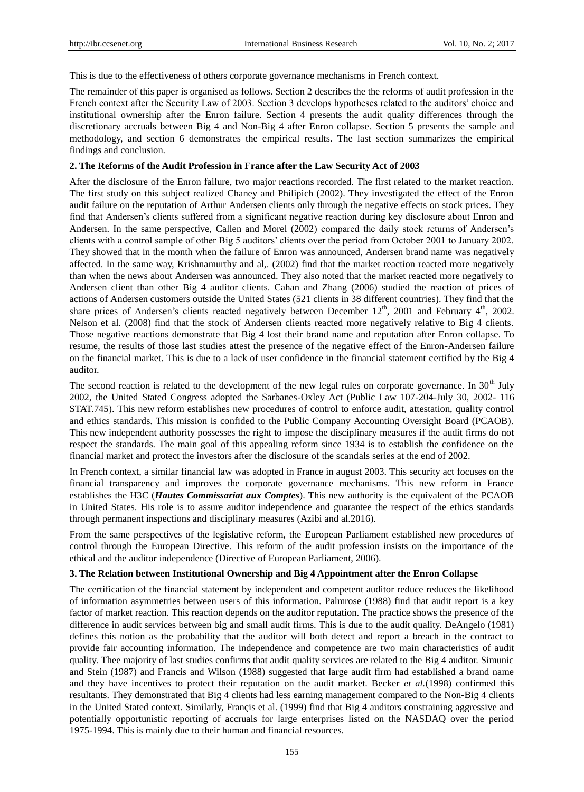This is due to the effectiveness of others corporate governance mechanisms in French context.

The remainder of this paper is organised as follows. Section 2 describes the the reforms of audit profession in the French context after the Security Law of 2003. Section 3 develops hypotheses related to the auditors' choice and institutional ownership after the Enron failure. Section 4 presents the audit quality differences through the discretionary accruals between Big 4 and Non-Big 4 after Enron collapse. Section 5 presents the sample and methodology, and section 6 demonstrates the empirical results. The last section summarizes the empirical findings and conclusion.

## **2. The Reforms of the Audit Profession in France after the Law Security Act of 2003**

After the disclosure of the Enron failure, two major reactions recorded. The first related to the market reaction. The first study on this subject realized Chaney and Philipich (2002). They investigated the effect of the Enron audit failure on the reputation of Arthur Andersen clients only through the negative effects on stock prices. They find that Andersen's clients suffered from a significant negative reaction during key disclosure about Enron and Andersen. In the same perspective, Callen and Morel (2002) compared the daily stock returns of Andersen's clients with a control sample of other Big 5 auditors' clients over the period from October 2001 to January 2002. They showed that in the month when the failure of Enron was announced, Andersen brand name was negatively affected. In the same way, Krishnamurthy and al,. (2002) find that the market reaction reacted more negatively than when the news about Andersen was announced. They also noted that the market reacted more negatively to Andersen client than other Big 4 auditor clients. Cahan and Zhang (2006) studied the reaction of prices of actions of Andersen customers outside the United States (521 clients in 38 different countries). They find that the share prices of Andersen's clients reacted negatively between December 12<sup>th</sup>, 2001 and February 4<sup>th</sup>, 2002. Nelson et al. (2008) find that the stock of Andersen clients reacted more negatively relative to Big 4 clients. Those negative reactions demonstrate that Big 4 lost their brand name and reputation after Enron collapse. To resume, the results of those last studies attest the presence of the negative effect of the Enron-Andersen failure on the financial market. This is due to a lack of user confidence in the financial statement certified by the Big 4 auditor.

The second reaction is related to the development of the new legal rules on corporate governance. In 30<sup>th</sup> July 2002, the United Stated Congress adopted the Sarbanes-Oxley Act (Public Law 107-204-July 30, 2002- 116 STAT.745). This new reform establishes new procedures of control to enforce audit, attestation, quality control and ethics standards. This mission is confided to the Public Company Accounting Oversight Board (PCAOB). This new independent authority possesses the right to impose the disciplinary measures if the audit firms do not respect the standards. The main goal of this appealing reform since 1934 is to establish the confidence on the financial market and protect the investors after the disclosure of the scandals series at the end of 2002.

In French context, a similar financial law was adopted in France in august 2003. This security act focuses on the financial transparency and improves the corporate governance mechanisms. This new reform in France establishes the H3C (*Hautes Commissariat aux Comptes*). This new authority is the equivalent of the PCAOB in United States. His role is to assure auditor independence and guarantee the respect of the ethics standards through permanent inspections and disciplinary measures (Azibi and al.2016).

From the same perspectives of the legislative reform, the European Parliament established new procedures of control through the European Directive. This reform of the audit profession insists on the importance of the ethical and the auditor independence (Directive of European Parliament, 2006).

#### **3. The Relation between Institutional Ownership and Big 4 Appointment after the Enron Collapse**

The certification of the financial statement by independent and competent auditor reduce reduces the likelihood of information asymmetries between users of this information. Palmrose (1988) find that audit report is a key factor of market reaction. This reaction depends on the auditor reputation. The practice shows the presence of the difference in audit services between big and small audit firms. This is due to the audit quality. DeAngelo (1981) defines this notion as the probability that the auditor will both detect and report a breach in the contract to provide fair accounting information. The independence and competence are two main characteristics of audit quality. Thee majority of last studies confirms that audit quality services are related to the Big 4 auditor. Simunic and Stein (1987) and Francis and Wilson (1988) suggested that large audit firm had established a brand name and they have incentives to protect their reputation on the audit market. Becker *et al.*(1998) confirmed this resultants. They demonstrated that Big 4 clients had less earning management compared to the Non-Big 4 clients in the United Stated context. Similarly, Francis et al. (1999) find that Big 4 auditors constraining aggressive and potentially opportunistic reporting of accruals for large enterprises listed on the NASDAQ over the period 1975-1994. This is mainly due to their human and financial resources.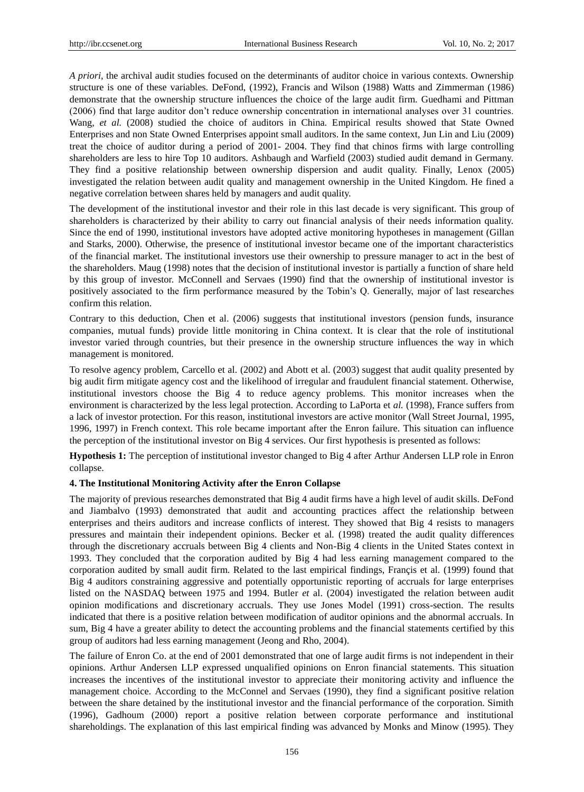*A priori,* the archival audit studies focused on the determinants of auditor choice in various contexts. Ownership structure is one of these variables. DeFond, (1992), Francis and Wilson (1988) Watts and Zimmerman (1986) demonstrate that the ownership structure influences the choice of the large audit firm. Guedhami and Pittman (2006) find that large auditor don't reduce ownership concentration in international analyses over 31 countries. Wang, *et al.* (2008) studied the choice of auditors in China. Empirical results showed that State Owned Enterprises and non State Owned Enterprises appoint small auditors. In the same context, Jun Lin and Liu (2009) treat the choice of auditor during a period of 2001- 2004. They find that chinos firms with large controlling shareholders are less to hire Top 10 auditors. Ashbaugh and Warfield (2003) studied audit demand in Germany. They find a positive relationship between ownership dispersion and audit quality. Finally, Lenox (2005) investigated the relation between audit quality and management ownership in the United Kingdom. He fined a negative correlation between shares held by managers and audit quality.

The development of the institutional investor and their role in this last decade is very significant. This group of shareholders is characterized by their ability to carry out financial analysis of their needs information quality. Since the end of 1990, institutional investors have adopted active monitoring hypotheses in management (Gillan and Starks, 2000). Otherwise, the presence of institutional investor became one of the important characteristics of the financial market. The institutional investors use their ownership to pressure manager to act in the best of the shareholders. Maug (1998) notes that the decision of institutional investor is partially a function of share held by this group of investor. McConnell and Servaes (1990) find that the ownership of institutional investor is positively associated to the firm performance measured by the Tobin's Q. Generally, major of last researches confirm this relation.

Contrary to this deduction, Chen et al. (2006) suggests that institutional investors (pension funds, insurance companies, mutual funds) provide little monitoring in China context. It is clear that the role of institutional investor varied through countries, but their presence in the ownership structure influences the way in which management is monitored.

To resolve agency problem, Carcello et al. (2002) and Abott et al. (2003) suggest that audit quality presented by big audit firm mitigate agency cost and the likelihood of irregular and fraudulent financial statement. Otherwise, institutional investors choose the Big 4 to reduce agency problems. This monitor increases when the environment is characterized by the less legal protection. According to LaPorta et *al.* (1998), France suffers from a lack of investor protection. For this reason, institutional investors are active monitor (Wall Street Journal, 1995, 1996, 1997) in French context. This role became important after the Enron failure. This situation can influence the perception of the institutional investor on Big 4 services. Our first hypothesis is presented as follows:

**Hypothesis 1:** The perception of institutional investor changed to Big 4 after Arthur Andersen LLP role in Enron collapse.

## **4. The Institutional Monitoring Activity after the Enron Collapse**

The majority of previous researches demonstrated that Big 4 audit firms have a high level of audit skills. DeFond and Jiambalvo (1993) demonstrated that audit and accounting practices affect the relationship between enterprises and theirs auditors and increase conflicts of interest. They showed that Big 4 resists to managers pressures and maintain their independent opinions. Becker et al*.* (1998) treated the audit quality differences through the discretionary accruals between Big 4 clients and Non-Big 4 clients in the United States context in 1993. They concluded that the corporation audited by Big 4 had less earning management compared to the corporation audited by small audit firm. Related to the last empirical findings, Françis et al. (1999) found that Big 4 auditors constraining aggressive and potentially opportunistic reporting of accruals for large enterprises listed on the NASDAQ between 1975 and 1994. Butler *et* al. (2004) investigated the relation between audit opinion modifications and discretionary accruals. They use Jones Model (1991) cross-section. The results indicated that there is a positive relation between modification of auditor opinions and the abnormal accruals. In sum, Big 4 have a greater ability to detect the accounting problems and the financial statements certified by this group of auditors had less earning management (Jeong and Rho, 2004).

The failure of Enron Co. at the end of 2001 demonstrated that one of large audit firms is not independent in their opinions. Arthur Andersen LLP expressed unqualified opinions on Enron financial statements. This situation increases the incentives of the institutional investor to appreciate their monitoring activity and influence the management choice. According to the McConnel and Servaes (1990), they find a significant positive relation between the share detained by the institutional investor and the financial performance of the corporation. Simith (1996), Gadhoum (2000) report a positive relation between corporate performance and institutional shareholdings. The explanation of this last empirical finding was advanced by Monks and Minow (1995). They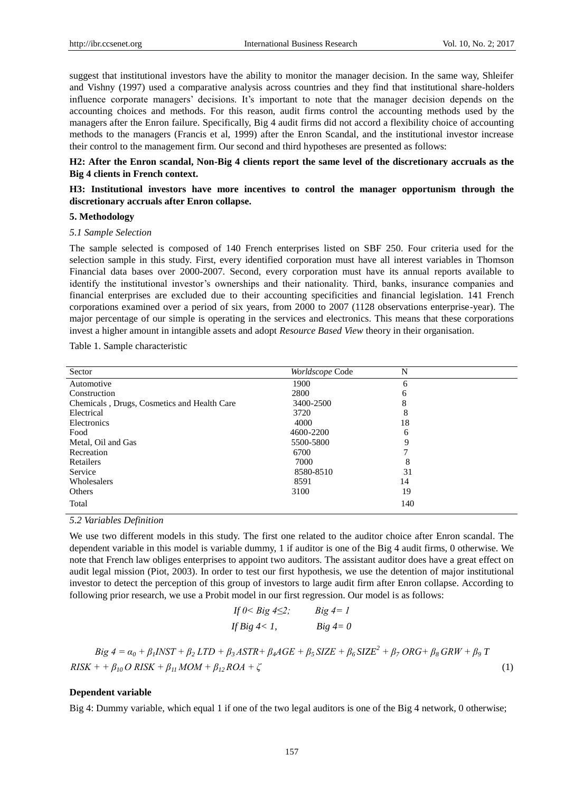suggest that institutional investors have the ability to monitor the manager decision. In the same way, Shleifer and Vishny (1997) used a comparative analysis across countries and they find that institutional share-holders influence corporate managers' decisions. It's important to note that the manager decision depends on the accounting choices and methods. For this reason, audit firms control the accounting methods used by the managers after the Enron failure. Specifically, Big 4 audit firms did not accord a flexibility choice of accounting methods to the managers (Francis et al, 1999) after the Enron Scandal, and the institutional investor increase their control to the management firm. Our second and third hypotheses are presented as follows:

**H2: After the Enron scandal, Non-Big 4 clients report the same level of the discretionary accruals as the Big 4 clients in French context.**

## **H3: Institutional investors have more incentives to control the manager opportunism through the discretionary accruals after Enron collapse.**

## **5. Methodology**

## *5.1 Sample Selection*

The sample selected is composed of 140 French enterprises listed on SBF 250. Four criteria used for the selection sample in this study. First, every identified corporation must have all interest variables in Thomson Financial data bases over 2000-2007. Second, every corporation must have its annual reports available to identify the institutional investor's ownerships and their nationality. Third, banks, insurance companies and financial enterprises are excluded due to their accounting specificities and financial legislation. 141 French corporations examined over a period of six years, from 2000 to 2007 (1128 observations enterprise-year). The major percentage of our simple is operating in the services and electronics. This means that these corporations invest a higher amount in intangible assets and adopt *Resource Based View* theory in their organisation.

Table 1. Sample characteristic

| Sector                                      | Worldscope Code | N   |  |
|---------------------------------------------|-----------------|-----|--|
| Automotive                                  | 1900            | 6   |  |
| Construction                                | 2800            | 6   |  |
| Chemicals, Drugs, Cosmetics and Health Care | 3400-2500       | 8   |  |
| Electrical                                  | 3720            | 8   |  |
| Electronics                                 | 4000            | 18  |  |
| Food                                        | 4600-2200       | 6   |  |
| Metal, Oil and Gas                          | 5500-5800       | 9   |  |
| Recreation                                  | 6700            | 7   |  |
| Retailers                                   | 7000            | 8   |  |
| Service                                     | 8580-8510       | 31  |  |
| Wholesalers                                 | 8591            | 14  |  |
| Others                                      | 3100            | 19  |  |
| Total                                       |                 | 140 |  |

*5.2 Variables Definition* 

We use two different models in this study. The first one related to the auditor choice after Enron scandal. The dependent variable in this model is variable dummy, 1 if auditor is one of the Big 4 audit firms, 0 otherwise. We note that French law obliges enterprises to appoint two auditors. The assistant auditor does have a great effect on audit legal mission (Piot, 2003). In order to test our first hypothesis, we use the detention of major institutional investor to detect the perception of this group of investors to large audit firm after Enron collapse. According to following prior research, we use a Probit model in our first regression. Our model is as follows:

If 
$$
0 < B
$$
ig  $4 \le 2$ ;   
If Big  $4 < 1$ ,   
Big  $4 < 1$ ,   
Big  $4 = 0$ 

$$
Big \ 4 = a_0 + \beta_1 INST + \beta_2 LTD + \beta_3 ASTR + \beta_4 AGE + \beta_5 SIZE + \beta_6 SIZE^2 + \beta_7 ORG + \beta_8 GRW + \beta_9 T
$$
  
RISK + +  $\beta_{10} O RISK + \beta_{11} MOM + \beta_{12} ROA + \zeta$  (1)

## **Dependent variable**

Big 4: Dummy variable, which equal 1 if one of the two legal auditors is one of the Big 4 network, 0 otherwise;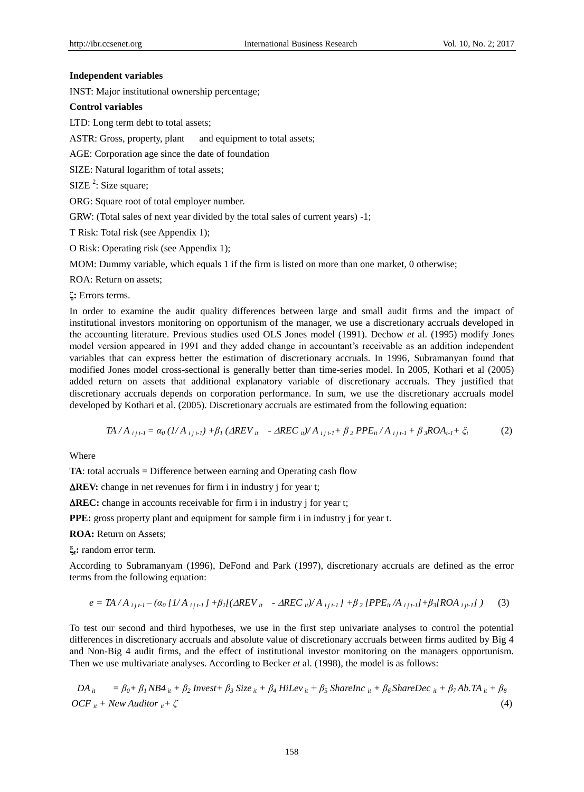#### **Independent variables**

INST: Major institutional ownership percentage;

#### **Control variables**

LTD: Long term debt to total assets;

ASTR: Gross, property, plant and equipment to total assets;

AGE: Corporation age since the date of foundation

SIZE: Natural logarithm of total assets;

 $SIZE^2$ : Size square;

ORG: Square root of total employer number.

GRW: (Total sales of next year divided by the total sales of current years) -1;

T Risk: Total risk (see Appendix 1);

O Risk: Operating risk (see Appendix 1);

MOM: Dummy variable, which equals 1 if the firm is listed on more than one market, 0 otherwise;

ROA: Return on assets;

**ζ:** Errors terms.

In order to examine the audit quality differences between large and small audit firms and the impact of institutional investors monitoring on opportunism of the manager, we use a discretionary accruals developed in the accounting literature. Previous studies used OLS Jones model (1991). Dechow *et* al. (1995) modify Jones model version appeared in 1991 and they added change in accountant's receivable as an addition independent variables that can express better the estimation of discretionary accruals. In 1996, Subramanyan found that modified Jones model cross-sectional is generally better than time-series model. In 2005, Kothari et al (2005) added return on assets that additional explanatory variable of discretionary accruals. They justified that discretionary accruals depends on corporation performance. In sum, we use the discretionary accruals model developed by Kothari et al. (2005). Discretionary accruals are estimated from the following equation:

$$
TA / A_{ij1} = \alpha_0 (1/A_{ij1}) + \beta_1 (AREV_{it} - AREC_{it}) / A_{ij1} + \beta_2 PPE_{it} / A_{ij1} + \beta_3 ROA_{t1} + \zeta_t
$$
 (2)

Where

**TA**: total accruals = Difference between earning and Operating cash flow

**AREV:** change in net revenues for firm i in industry j for year t;

**REC:** change in accounts receivable for firm i in industry j for year t;

**PPE:** gross property plant and equipment for sample firm i in industry j for year t.

**ROA:** Return on Assets;

**ξt:** random error term.

According to Subramanyam (1996), DeFond and Park (1997), discretionary accruals are defined as the error terms from the following equation:

$$
e = T A / A_{ij+1} - (a_0 [1/A_{ij+1}] + \beta_1 [(\Delta REV_{it} - \Delta REC_{it})/A_{ij+1}] + \beta_2 [PPE_{it}/A_{ij+1}] + \beta_3 [ROA_{ij+1}] ) \tag{3}
$$

To test our second and third hypotheses, we use in the first step univariate analyses to control the potential differences in discretionary accruals and absolute value of discretionary accruals between firms audited by Big 4 and Non-Big 4 audit firms, and the effect of institutional investor monitoring on the managers opportunism. Then we use multivariate analyses. According to Becker *et* al. (1998), the model is as follows:

 $DA_{ii} = \beta_0 + \beta_1 NB4_{ii} + \beta_2 Invest + \beta_3 Size_{ii} + \beta_4 Hillev_{ii} + \beta_5 Sharelnc_{ii} + \beta_6 SharelDec_{ii} + \beta_7 Ab.TA_{ii} + \beta_8$  $OCF_{ii}$  + New Auditor  $_{ii}$  +  $\zeta$  (4)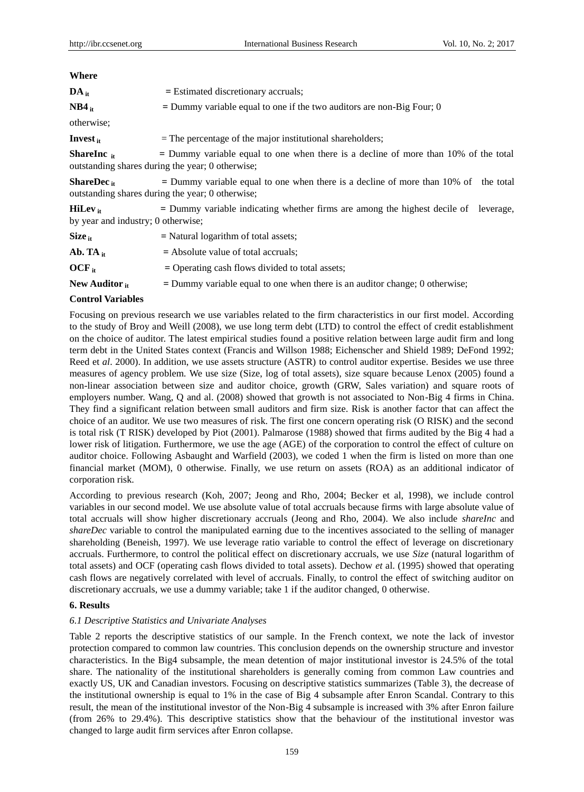| $\mathbf{DA}_{it}$                                  | $=$ Estimated discretionary accruals;                                                                                                     |  |  |  |  |  |  |  |  |
|-----------------------------------------------------|-------------------------------------------------------------------------------------------------------------------------------------------|--|--|--|--|--|--|--|--|
| $NB4_{it}$                                          | $=$ Dummy variable equal to one if the two auditors are non-Big Four; 0                                                                   |  |  |  |  |  |  |  |  |
| otherwise;                                          |                                                                                                                                           |  |  |  |  |  |  |  |  |
| Invest $_{it}$                                      | $=$ The percentage of the major institutional shareholders;                                                                               |  |  |  |  |  |  |  |  |
| <b>ShareInc</b> $_{it}$                             | $=$ Dummy variable equal to one when there is a decline of more than 10% of the total<br>outstanding shares during the year; 0 otherwise; |  |  |  |  |  |  |  |  |
| ShareDec $_{it}$                                    | $=$ Dummy variable equal to one when there is a decline of more than 10% of the total<br>outstanding shares during the year; 0 otherwise; |  |  |  |  |  |  |  |  |
| $Hillev_{it}$<br>by year and industry; 0 otherwise; | $=$ Dummy variable indicating whether firms are among the highest decile of leverage,                                                     |  |  |  |  |  |  |  |  |
| $Size_{it}$                                         | $=$ Natural logarithm of total assets;                                                                                                    |  |  |  |  |  |  |  |  |
| Ab. TA $_{it}$                                      | $=$ Absolute value of total accruals;                                                                                                     |  |  |  |  |  |  |  |  |
| $OCF_{it}$                                          | = Operating cash flows divided to total assets;                                                                                           |  |  |  |  |  |  |  |  |
| New Auditor it                                      | $=$ Dummy variable equal to one when there is an auditor change; 0 otherwise;                                                             |  |  |  |  |  |  |  |  |

## **Control Variables**

Focusing on previous research we use variables related to the firm characteristics in our first model. According to the study of Broy and Weill (2008), we use long term debt (LTD) to control the effect of credit establishment on the choice of auditor. The latest empirical studies found a positive relation between large audit firm and long term debt in the United States context (Francis and Willson 1988; Eichenscher and Shield 1989; DeFond 1992; Reed et *al*. 2000). In addition, we use assets structure (ASTR) to control auditor expertise. Besides we use three measures of agency problem. We use size (Size, log of total assets), size square because Lenox (2005) found a non-linear association between size and auditor choice, growth (GRW, Sales variation) and square roots of employers number. Wang, Q and al. (2008) showed that growth is not associated to Non-Big 4 firms in China. They find a significant relation between small auditors and firm size. Risk is another factor that can affect the choice of an auditor. We use two measures of risk. The first one concern operating risk (O RISK) and the second is total risk (T RISK) developed by Piot (2001). Palmarose (1988) showed that firms audited by the Big 4 had a lower risk of litigation. Furthermore, we use the age (AGE) of the corporation to control the effect of culture on auditor choice. Following Asbaught and Warfield (2003), we coded 1 when the firm is listed on more than one financial market (MOM), 0 otherwise. Finally, we use return on assets (ROA) as an additional indicator of corporation risk.

According to previous research (Koh, 2007; Jeong and Rho, 2004; Becker et al, 1998), we include control variables in our second model. We use absolute value of total accruals because firms with large absolute value of total accruals will show higher discretionary accruals (Jeong and Rho, 2004). We also include *shareInc* and *shareDec* variable to control the manipulated earning due to the incentives associated to the selling of manager shareholding (Beneish, 1997). We use leverage ratio variable to control the effect of leverage on discretionary accruals. Furthermore, to control the political effect on discretionary accruals, we use *Size* (natural logarithm of total assets) and OCF (operating cash flows divided to total assets). Dechow *et* al. (1995) showed that operating cash flows are negatively correlated with level of accruals. Finally, to control the effect of switching auditor on discretionary accruals, we use a dummy variable; take 1 if the auditor changed, 0 otherwise.

## **6. Results**

## *6.1 Descriptive Statistics and Univariate Analyses*

Table 2 reports the descriptive statistics of our sample. In the French context, we note the lack of investor protection compared to common law countries. This conclusion depends on the ownership structure and investor characteristics. In the Big4 subsample, the mean detention of major institutional investor is 24.5% of the total share. The nationality of the institutional shareholders is generally coming from common Law countries and exactly US, UK and Canadian investors. Focusing on descriptive statistics summarizes (Table 3), the decrease of the institutional ownership is equal to 1% in the case of Big 4 subsample after Enron Scandal. Contrary to this result, the mean of the institutional investor of the Non-Big 4 subsample is increased with 3% after Enron failure (from 26% to 29.4%). This descriptive statistics show that the behaviour of the institutional investor was changed to large audit firm services after Enron collapse.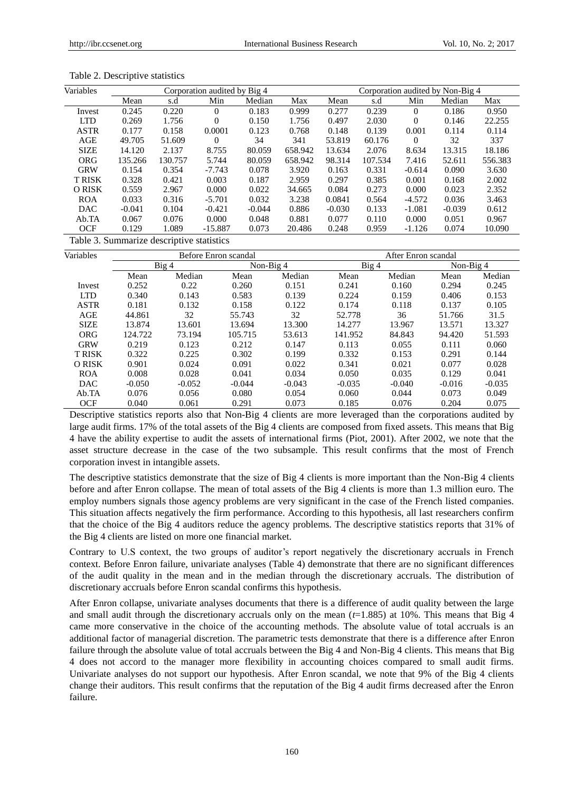| Variables    | Corporation audited by Big 4 |         |           |          |         |          | Corporation audited by Non-Big 4 |          |          |         |  |
|--------------|------------------------------|---------|-----------|----------|---------|----------|----------------------------------|----------|----------|---------|--|
|              | Mean                         | s.d     | Min       | Median   | Max     | Mean     | s.d                              | Min      | Median   | Max     |  |
| Invest       | 0.245                        | 0.220   | $\Omega$  | 0.183    | 0.999   | 0.277    | 0.239                            | $\Omega$ | 0.186    | 0.950   |  |
| <b>LTD</b>   | 0.269                        | 1.756   | $\Omega$  | 0.150    | 1.756   | 0.497    | 2.030                            | $\Omega$ | 0.146    | 22.255  |  |
| <b>ASTR</b>  | 0.177                        | 0.158   | 0.0001    | 0.123    | 0.768   | 0.148    | 0.139                            | 0.001    | 0.114    | 0.114   |  |
| AGE          | 49.705                       | 51.609  | $\Omega$  | 34       | 341     | 53.819   | 60.176                           | $\Omega$ | 32       | 337     |  |
| <b>SIZE</b>  | 14.120                       | 2.137   | 8.755     | 80.059   | 658.942 | 13.634   | 2.076                            | 8.634    | 13.315   | 18.186  |  |
| <b>ORG</b>   | 135.266                      | 130.757 | 5.744     | 80.059   | 658.942 | 98.314   | 107.534                          | 7.416    | 52.611   | 556.383 |  |
| <b>GRW</b>   | 0.154                        | 0.354   | $-7.743$  | 0.078    | 3.920   | 0.163    | 0.331                            | $-0.614$ | 0.090    | 3.630   |  |
| <b>TRISK</b> | 0.328                        | 0.421   | 0.003     | 0.187    | 2.959   | 0.297    | 0.385                            | 0.001    | 0.168    | 2.002   |  |
| O RISK       | 0.559                        | 2.967   | 0.000     | 0.022    | 34.665  | 0.084    | 0.273                            | 0.000    | 0.023    | 2.352   |  |
| <b>ROA</b>   | 0.033                        | 0.316   | $-5.701$  | 0.032    | 3.238   | 0.0841   | 0.564                            | $-4.572$ | 0.036    | 3.463   |  |
| <b>DAC</b>   | $-0.041$                     | 0.104   | $-0.421$  | $-0.044$ | 0.886   | $-0.030$ | 0.133                            | $-1.081$ | $-0.039$ | 0.612   |  |
| Ab.TA        | 0.067                        | 0.076   | 0.000     | 0.048    | 0.881   | 0.077    | 0.110                            | 0.000    | 0.051    | 0.967   |  |
| <b>OCF</b>   | 0.129                        | 1.089   | $-15.887$ | 0.073    | 20.486  | 0.248    | 0.959                            | $-1.126$ | 0.074    | 10.090  |  |

Table 2. Descriptive statistics

Table 3. Summarize descriptive statistics

| Variables    |          |          | Before Enron scandal |           |          |          | After Enron scandal |             |  |
|--------------|----------|----------|----------------------|-----------|----------|----------|---------------------|-------------|--|
|              |          | Big 4    |                      | Non-Big 4 | Big 4    |          |                     | Non-Big $4$ |  |
|              | Mean     | Median   | Mean                 | Median    | Mean     | Median   | Mean                | Median      |  |
| Invest       | 0.252    | 0.22     | 0.260                | 0.151     | 0.241    | 0.160    | 0.294               | 0.245       |  |
| <b>LTD</b>   | 0.340    | 0.143    | 0.583                | 0.139     | 0.224    | 0.159    | 0.406               | 0.153       |  |
| <b>ASTR</b>  | 0.181    | 0.132    | 0.158                | 0.122     | 0.174    | 0.118    | 0.137               | 0.105       |  |
| AGE          | 44.861   | 32       | 55.743               | 32        | 52.778   | 36       | 51.766              | 31.5        |  |
| <b>SIZE</b>  | 13.874   | 13.601   | 13.694               | 13.300    | 14.277   | 13.967   | 13.571              | 13.327      |  |
| <b>ORG</b>   | 124.722  | 73.194   | 105.715              | 53.613    | 141.952  | 84.843   | 94.420              | 51.593      |  |
| <b>GRW</b>   | 0.219    | 0.123    | 0.212                | 0.147     | 0.113    | 0.055    | 0.111               | 0.060       |  |
| <b>TRISK</b> | 0.322    | 0.225    | 0.302                | 0.199     | 0.332    | 0.153    | 0.291               | 0.144       |  |
| O RISK       | 0.901    | 0.024    | 0.091                | 0.022     | 0.341    | 0.021    | 0.077               | 0.028       |  |
| <b>ROA</b>   | 0.008    | 0.028    | 0.041                | 0.034     | 0.050    | 0.035    | 0.129               | 0.041       |  |
| <b>DAC</b>   | $-0.050$ | $-0.052$ | $-0.044$             | $-0.043$  | $-0.035$ | $-0.040$ | $-0.016$            | $-0.035$    |  |
| Ab.TA        | 0.076    | 0.056    | 0.080                | 0.054     | 0.060    | 0.044    | 0.073               | 0.049       |  |
| <b>OCF</b>   | 0.040    | 0.061    | 0.291                | 0.073     | 0.185    | 0.076    | 0.204               | 0.075       |  |

Descriptive statistics reports also that Non-Big 4 clients are more leveraged than the corporations audited by large audit firms. 17% of the total assets of the Big 4 clients are composed from fixed assets. This means that Big 4 have the ability expertise to audit the assets of international firms (Piot, 2001). After 2002, we note that the asset structure decrease in the case of the two subsample. This result confirms that the most of French corporation invest in intangible assets.

The descriptive statistics demonstrate that the size of Big 4 clients is more important than the Non-Big 4 clients before and after Enron collapse. The mean of total assets of the Big 4 clients is more than 1.3 million euro. The employ numbers signals those agency problems are very significant in the case of the French listed companies. This situation affects negatively the firm performance. According to this hypothesis, all last researchers confirm that the choice of the Big 4 auditors reduce the agency problems. The descriptive statistics reports that 31% of the Big 4 clients are listed on more one financial market.

Contrary to U.S context, the two groups of auditor's report negatively the discretionary accruals in French context. Before Enron failure, univariate analyses (Table 4) demonstrate that there are no significant differences of the audit quality in the mean and in the median through the discretionary accruals. The distribution of discretionary accruals before Enron scandal confirms this hypothesis.

After Enron collapse, univariate analyses documents that there is a difference of audit quality between the large and small audit through the discretionary accruals only on the mean  $(t=1.885)$  at 10%. This means that Big 4 came more conservative in the choice of the accounting methods. The absolute value of total accruals is an additional factor of managerial discretion. The parametric tests demonstrate that there is a difference after Enron failure through the absolute value of total accruals between the Big 4 and Non-Big 4 clients. This means that Big 4 does not accord to the manager more flexibility in accounting choices compared to small audit firms. Univariate analyses do not support our hypothesis. After Enron scandal, we note that 9% of the Big 4 clients change their auditors. This result confirms that the reputation of the Big 4 audit firms decreased after the Enron failure.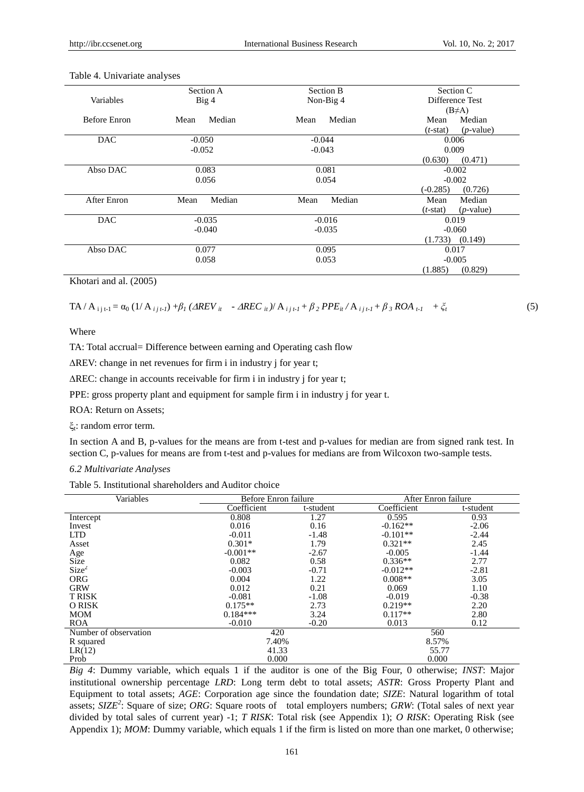|                     | Section A                     | Section B      | Section C                   |  |  |
|---------------------|-------------------------------|----------------|-----------------------------|--|--|
| Variables           | Big <sub>4</sub><br>Non-Big 4 |                | Difference Test             |  |  |
|                     |                               |                | $(B \neq A)$                |  |  |
| <b>Before Enron</b> | Median<br>Mean                | Median<br>Mean | Median<br>Mean              |  |  |
|                     |                               |                | $(p$ -value)<br>$(t$ -stat) |  |  |
| <b>DAC</b>          | $-0.050$                      | $-0.044$       | 0.006                       |  |  |
|                     | $-0.052$                      | $-0.043$       | 0.009                       |  |  |
|                     |                               |                | (0.471)<br>(0.630)          |  |  |
| Abso DAC            | 0.083                         | 0.081          | $-0.002$                    |  |  |
|                     | 0.056                         | 0.054          | $-0.002$                    |  |  |
|                     |                               |                | $(-0.285)$<br>(0.726)       |  |  |
| <b>After Enron</b>  | Median<br>Mean                | Median<br>Mean | Mean<br>Median              |  |  |
|                     |                               |                | $(p$ -value)<br>$(t$ -stat) |  |  |
| <b>DAC</b>          | $-0.035$                      | $-0.016$       | 0.019                       |  |  |
|                     | $-0.040$                      | $-0.035$       | $-0.060$                    |  |  |
|                     |                               |                | $(1.733)$ $(0.149)$         |  |  |
| Abso DAC            | 0.077                         | 0.095          | 0.017                       |  |  |
|                     | 0.058                         | 0.053          | $-0.005$                    |  |  |
|                     |                               |                | (1.885)<br>(0.829)          |  |  |

#### Table 4. Univariate analyses

Khotari and al. (2005)

 $TA / A_{ijt-1} = \alpha_0 (1/A_{ijt-1}) + \beta_1 (AREV_{it} - AREC_{it}) / A_{ijt-1} + \beta_2 PPE_{it} / A_{ijt-1} + \beta_3 ROA_{t-1} + \zeta_t$  (5)

Where

TA: Total accrual= Difference between earning and Operating cash flow

 $\Delta$ REV: change in net revenues for firm i in industry j for year t;

REC: change in accounts receivable for firm i in industry j for year t;

PPE: gross property plant and equipment for sample firm i in industry j for year t.

ROA: Return on Assets;

ξt : random error term.

In section A and B, p-values for the means are from t-test and p-values for median are from signed rank test. In section C, p-values for means are from t-test and p-values for medians are from Wilcoxon two-sample tests.

*6.2 Multivariate Analyses* 

Table 5. Institutional shareholders and Auditor choice

| Variables                   | Before Enron failure |           |             | After Enron failure |  |  |
|-----------------------------|----------------------|-----------|-------------|---------------------|--|--|
|                             | Coefficient          | t-student | Coefficient | t-student           |  |  |
| Intercept                   | 0.808                | 1.27      | 0.595       | 0.93                |  |  |
| Invest                      | 0.016                | 0.16      | $-0.162**$  | $-2.06$             |  |  |
| <b>LTD</b>                  | $-0.011$             | $-1.48$   | $-0.101**$  | $-2.44$             |  |  |
| Asset                       | $0.301*$             | 1.79      | $0.321**$   | 2.45                |  |  |
| Age                         | $-0.001**$           | $-2.67$   | $-0.005$    | $-1.44$             |  |  |
| $\widetilde{\text{Size}}_2$ | 0.082                | 0.58      | $0.336**$   | 2.77                |  |  |
|                             | $-0.003$             | $-0.71$   | $-0.012**$  | $-2.81$             |  |  |
| <b>ORG</b>                  | 0.004                | 1.22      | $0.008**$   | 3.05                |  |  |
| <b>GRW</b>                  | 0.012                | 0.21      | 0.069       | 1.10                |  |  |
| <b>T RISK</b>               | $-0.081$             | $-1.08$   | $-0.019$    | $-0.38$             |  |  |
| O RISK                      | $0.175**$            | 2.73      | $0.219**$   | 2.20                |  |  |
| <b>MOM</b>                  | $0.184***$           | 3.24      | $0.117**$   | 2.80                |  |  |
| <b>ROA</b>                  | $-0.010$             | $-0.20$   | 0.013       | 0.12                |  |  |
| Number of observation       | 420                  |           | 560         |                     |  |  |
| R squared                   | 7.40%                |           | 8.57%       |                     |  |  |
| LR(12)                      | 41.33                |           | 55.77       |                     |  |  |
| Prob                        | 0.000                |           | 0.000       |                     |  |  |

*Big 4*: Dummy variable, which equals 1 if the auditor is one of the Big Four, 0 otherwise; *INST*: Major institutional ownership percentage *LRD*: Long term debt to total assets; *ASTR*: Gross Property Plant and Equipment to total assets; *AGE*: Corporation age since the foundation date; *SIZE*: Natural logarithm of total assets; *SIZE<sup>2</sup>* : Square of size; *ORG*: Square roots of total employers numbers; *GRW*: (Total sales of next year divided by total sales of current year) -1; *T RISK*: Total risk (see Appendix 1); *O RISK*: Operating Risk (see Appendix 1); *MOM*: Dummy variable, which equals 1 if the firm is listed on more than one market, 0 otherwise;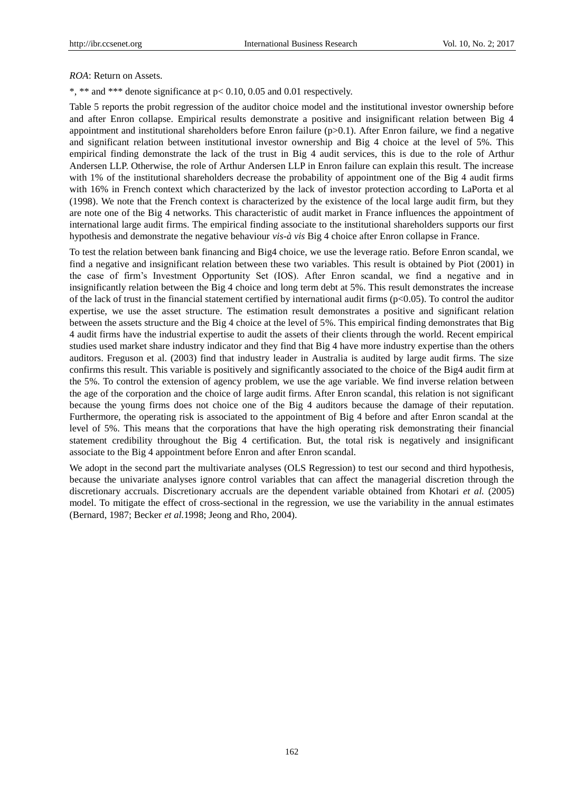### *ROA*: Return on Assets.

\*, \*\* and \*\*\* denote significance at p< 0.10, 0.05 and 0.01 respectively.

Table 5 reports the probit regression of the auditor choice model and the institutional investor ownership before and after Enron collapse. Empirical results demonstrate a positive and insignificant relation between Big 4 appointment and institutional shareholders before Enron failure ( $p>0.1$ ). After Enron failure, we find a negative and significant relation between institutional investor ownership and Big 4 choice at the level of 5%. This empirical finding demonstrate the lack of the trust in Big 4 audit services, this is due to the role of Arthur Andersen LLP. Otherwise, the role of Arthur Andersen LLP in Enron failure can explain this result. The increase with 1% of the institutional shareholders decrease the probability of appointment one of the Big 4 audit firms with 16% in French context which characterized by the lack of investor protection according to LaPorta et al (1998). We note that the French context is characterized by the existence of the local large audit firm, but they are note one of the Big 4 networks. This characteristic of audit market in France influences the appointment of international large audit firms. The empirical finding associate to the institutional shareholders supports our first hypothesis and demonstrate the negative behaviour *vis-à vis* Big 4 choice after Enron collapse in France.

To test the relation between bank financing and Big4 choice, we use the leverage ratio. Before Enron scandal, we find a negative and insignificant relation between these two variables. This result is obtained by Piot (2001) in the case of firm's Investment Opportunity Set (IOS). After Enron scandal, we find a negative and in insignificantly relation between the Big 4 choice and long term debt at 5%. This result demonstrates the increase of the lack of trust in the financial statement certified by international audit firms  $(p<0.05)$ . To control the auditor expertise, we use the asset structure. The estimation result demonstrates a positive and significant relation between the assets structure and the Big 4 choice at the level of 5%. This empirical finding demonstrates that Big 4 audit firms have the industrial expertise to audit the assets of their clients through the world. Recent empirical studies used market share industry indicator and they find that Big 4 have more industry expertise than the others auditors. Freguson et al. (2003) find that industry leader in Australia is audited by large audit firms. The size confirms this result. This variable is positively and significantly associated to the choice of the Big4 audit firm at the 5%. To control the extension of agency problem, we use the age variable. We find inverse relation between the age of the corporation and the choice of large audit firms. After Enron scandal, this relation is not significant because the young firms does not choice one of the Big 4 auditors because the damage of their reputation. Furthermore, the operating risk is associated to the appointment of Big 4 before and after Enron scandal at the level of 5%. This means that the corporations that have the high operating risk demonstrating their financial statement credibility throughout the Big 4 certification. But, the total risk is negatively and insignificant associate to the Big 4 appointment before Enron and after Enron scandal.

We adopt in the second part the multivariate analyses (OLS Regression) to test our second and third hypothesis, because the univariate analyses ignore control variables that can affect the managerial discretion through the discretionary accruals. Discretionary accruals are the dependent variable obtained from Khotari *et al.* (2005) model. To mitigate the effect of cross-sectional in the regression, we use the variability in the annual estimates (Bernard, 1987; Becker *et al.*1998; Jeong and Rho, 2004).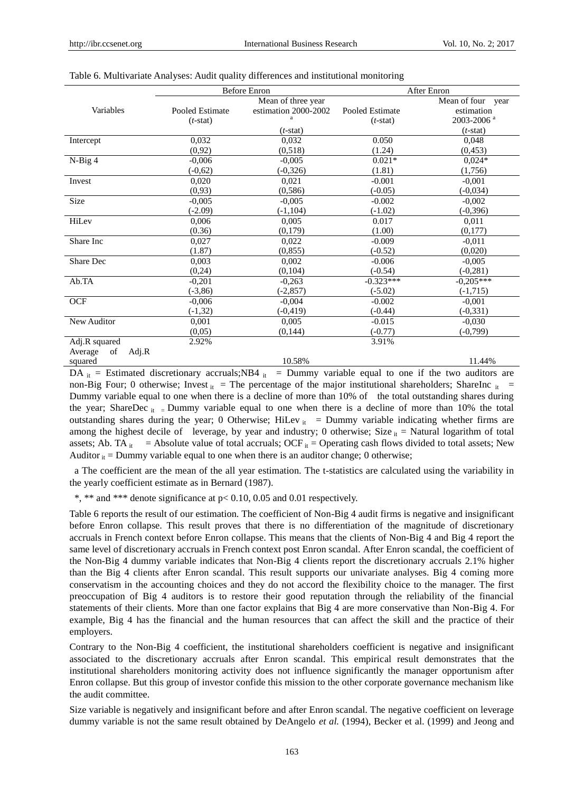|                                                                                       |                 | <b>Before Enron</b>  | After Enron     |                                                            |  |  |
|---------------------------------------------------------------------------------------|-----------------|----------------------|-----------------|------------------------------------------------------------|--|--|
|                                                                                       |                 | Mean of three year   |                 | Mean of four<br>year                                       |  |  |
| Variables                                                                             | Pooled Estimate | estimation 2000-2002 | Pooled Estimate | estimation                                                 |  |  |
|                                                                                       | $(t-stat)$      |                      | $(t-stat)$      | 2003-2006 <sup>a</sup>                                     |  |  |
|                                                                                       |                 | $(t$ -stat)          |                 | $(t$ -stat)                                                |  |  |
| Intercept                                                                             | 0,032           | 0,032                | 0.050           | 0,048                                                      |  |  |
|                                                                                       | (0,92)          | (0,518)              | (1.24)          | (0, 453)                                                   |  |  |
| N-Big 4                                                                               | $-0,006$        | $-0,005$             | $0.021*$        | $0,024*$                                                   |  |  |
|                                                                                       | $(-0,62)$       | $(-0, 326)$          | (1.81)          | (1,756)                                                    |  |  |
| Invest                                                                                | 0,020           | 0.021                | $-0.001$        | $-0.001$                                                   |  |  |
|                                                                                       | (0,93)          | (0, 586)             | $(-0.05)$       | $(-0,034)$                                                 |  |  |
| Size                                                                                  | $-0,005$        | $-0,005$             | $-0.002$        | $-0,002$                                                   |  |  |
|                                                                                       | $(-2.09)$       | $(-1, 104)$          | $(-1.02)$       | $(-0, 396)$                                                |  |  |
| HiLev                                                                                 | 0,006           | 0,005                | 0.017           | 0,011                                                      |  |  |
|                                                                                       | (0.36)          | (0.179)              | (1.00)          | (0,177)                                                    |  |  |
| Share Inc                                                                             | 0,027           | 0,022                | $-0.009$        | $-0.011$                                                   |  |  |
|                                                                                       | (1.87)          | (0, 855)             | $(-0.52)$       | (0,020)                                                    |  |  |
| Share Dec                                                                             | 0,003           | 0,002                | $-0.006$        | $-0.005$                                                   |  |  |
|                                                                                       | (0,24)          | (0,104)              | $(-0.54)$       | $(-0, 281)$                                                |  |  |
| Ab.TA                                                                                 | $-0,201$        | $-0,263$             | $-0.323***$     | $-0,205***$                                                |  |  |
|                                                                                       | $(-3, 86)$      | $(-2, 857)$          | $(-5.02)$       | $(-1,715)$                                                 |  |  |
| <b>OCF</b>                                                                            | $-0.006$        | $-0.004$             | $-0.002$        | $-0.001$                                                   |  |  |
|                                                                                       | $(-1,32)$       | $(-0, 419)$          | $(-0.44)$       | $(-0, 331)$                                                |  |  |
| New Auditor                                                                           | 0,001           | 0.005                | $-0.015$        | $-0.030$                                                   |  |  |
|                                                                                       | (0.05)          | (0, 144)             | $(-0.77)$       | $(-0, 799)$                                                |  |  |
| Adj.R squared                                                                         | 2.92%           |                      | 3.91%           |                                                            |  |  |
| Adj.R<br>Average<br>of                                                                |                 |                      |                 |                                                            |  |  |
| squared                                                                               |                 | 10.58%               |                 | 11.44%                                                     |  |  |
| $\mathbf{D}\Lambda = \mathbf{E}$ estimated discretionary ecorries $\mathbf{D}\Lambda$ |                 |                      |                 | $\sim$ Dummy veriable equal to one if the two enditors are |  |  |

## Table 6. Multivariate Analyses: Audit quality differences and institutional monitoring

DA  $_{it}$  = Estimated discretionary accruals;NB4  $_{it}$  = Dummy variable equal to one if the two auditors are non-Big Four; 0 otherwise; Invest  $_{it}$  = The percentage of the major institutional shareholders; ShareInc  $_{it}$  = Dummy variable equal to one when there is a decline of more than 10% of the total outstanding shares during the year; ShareDec  $_{it}$  = Dummy variable equal to one when there is a decline of more than 10% the total outstanding shares during the year; 0 Otherwise; HiLev it = Dummy variable indicating whether firms are among the highest decile of leverage, by year and industry; 0 otherwise; Size  $_{it}$  = Natural logarithm of total assets; Ab. TA  $_{it}$  = Absolute value of total accruals; OCF  $_{it}$  = Operating cash flows divided to total assets; New Auditor  $_{it}$  = Dummy variable equal to one when there is an auditor change; 0 otherwise;

a The coefficient are the mean of the all year estimation. The t-statistics are calculated using the variability in the yearly coefficient estimate as in Bernard (1987).

\*, \*\* and \*\*\* denote significance at p< 0.10, 0.05 and 0.01 respectively.

Table 6 reports the result of our estimation. The coefficient of Non-Big 4 audit firms is negative and insignificant before Enron collapse. This result proves that there is no differentiation of the magnitude of discretionary accruals in French context before Enron collapse. This means that the clients of Non-Big 4 and Big 4 report the same level of discretionary accruals in French context post Enron scandal. After Enron scandal, the coefficient of the Non-Big 4 dummy variable indicates that Non-Big 4 clients report the discretionary accruals 2.1% higher than the Big 4 clients after Enron scandal. This result supports our univariate analyses. Big 4 coming more conservatism in the accounting choices and they do not accord the flexibility choice to the manager. The first preoccupation of Big 4 auditors is to restore their good reputation through the reliability of the financial statements of their clients. More than one factor explains that Big 4 are more conservative than Non-Big 4. For example, Big 4 has the financial and the human resources that can affect the skill and the practice of their employers.

Contrary to the Non-Big 4 coefficient, the institutional shareholders coefficient is negative and insignificant associated to the discretionary accruals after Enron scandal. This empirical result demonstrates that the institutional shareholders monitoring activity does not influence significantly the manager opportunism after Enron collapse. But this group of investor confide this mission to the other corporate governance mechanism like the audit committee.

Size variable is negatively and insignificant before and after Enron scandal. The negative coefficient on leverage dummy variable is not the same result obtained by DeAngelo *et al.* (1994), Becker et al. (1999) and Jeong and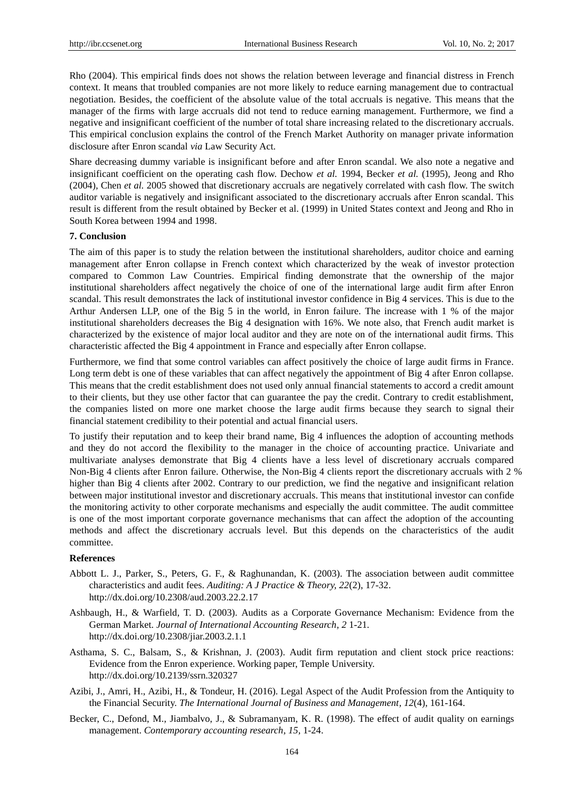Rho (2004). This empirical finds does not shows the relation between leverage and financial distress in French context. It means that troubled companies are not more likely to reduce earning management due to contractual negotiation. Besides, the coefficient of the absolute value of the total accruals is negative. This means that the manager of the firms with large accruals did not tend to reduce earning management. Furthermore, we find a negative and insignificant coefficient of the number of total share increasing related to the discretionary accruals. This empirical conclusion explains the control of the French Market Authority on manager private information disclosure after Enron scandal *via* Law Security Act.

Share decreasing dummy variable is insignificant before and after Enron scandal. We also note a negative and insignificant coefficient on the operating cash flow. Dechow *et al.* 1994, Becker *et al.* (1995), Jeong and Rho (2004), Chen *et al.* 2005 showed that discretionary accruals are negatively correlated with cash flow. The switch auditor variable is negatively and insignificant associated to the discretionary accruals after Enron scandal. This result is different from the result obtained by Becker et al. (1999) in United States context and Jeong and Rho in South Korea between 1994 and 1998.

#### **7. Conclusion**

The aim of this paper is to study the relation between the institutional shareholders, auditor choice and earning management after Enron collapse in French context which characterized by the weak of investor protection compared to Common Law Countries. Empirical finding demonstrate that the ownership of the major institutional shareholders affect negatively the choice of one of the international large audit firm after Enron scandal. This result demonstrates the lack of institutional investor confidence in Big 4 services. This is due to the Arthur Andersen LLP, one of the Big 5 in the world, in Enron failure. The increase with 1 % of the major institutional shareholders decreases the Big 4 designation with 16%. We note also, that French audit market is characterized by the existence of major local auditor and they are note on of the international audit firms. This characteristic affected the Big 4 appointment in France and especially after Enron collapse.

Furthermore, we find that some control variables can affect positively the choice of large audit firms in France. Long term debt is one of these variables that can affect negatively the appointment of Big 4 after Enron collapse. This means that the credit establishment does not used only annual financial statements to accord a credit amount to their clients, but they use other factor that can guarantee the pay the credit. Contrary to credit establishment, the companies listed on more one market choose the large audit firms because they search to signal their financial statement credibility to their potential and actual financial users.

To justify their reputation and to keep their brand name, Big 4 influences the adoption of accounting methods and they do not accord the flexibility to the manager in the choice of accounting practice. Univariate and multivariate analyses demonstrate that Big 4 clients have a less level of discretionary accruals compared Non-Big 4 clients after Enron failure. Otherwise, the Non-Big 4 clients report the discretionary accruals with 2 % higher than Big 4 clients after 2002. Contrary to our prediction, we find the negative and insignificant relation between major institutional investor and discretionary accruals. This means that institutional investor can confide the monitoring activity to other corporate mechanisms and especially the audit committee. The audit committee is one of the most important corporate governance mechanisms that can affect the adoption of the accounting methods and affect the discretionary accruals level. But this depends on the characteristics of the audit committee.

## **References**

- Abbott L. J., Parker, S., Peters, G. F., & Raghunandan, K. (2003). The association between audit committee characteristics and audit fees. *Auditing: A J Practice & Theory, 22*(2), 17-32. <http://dx.doi.org/10.2308/aud.2003.22.2.17>
- Ashbaugh, H., & Warfield, T. D. (2003). Audits as a Corporate Governance Mechanism: Evidence from the German Market. *Journal of International Accounting Research, 2* 1-21. <http://dx.doi.org/10.2308/jiar.2003.2.1.1>
- Asthama, S. C., Balsam, S., & Krishnan, J. (2003). Audit firm reputation and client stock price reactions: Evidence from the Enron experience. Working paper, Temple University. <http://dx.doi.org/10.2139/ssrn.320327>
- Azibi, J., Amri, H., Azibi, H., & Tondeur, H. (2016). Legal Aspect of the Audit Profession from the Antiquity to the Financial Security. *The International Journal of Business and Management, 12*(4), 161-164.
- Becker, C., Defond, M., Jiambalvo, J., & Subramanyam, K. R. (1998). The effect of audit quality on earnings management. *Contemporary accounting research, 15,* 1-24.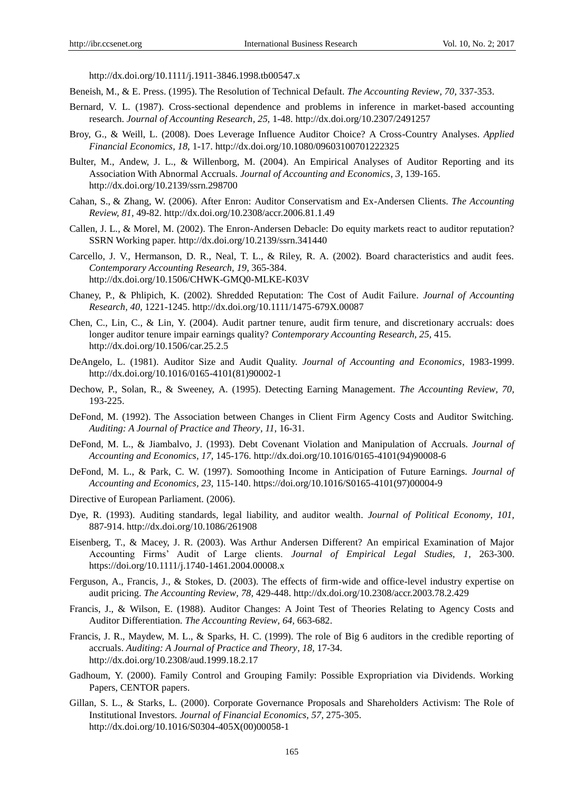<http://dx.doi.org/10.1111/j.1911-3846.1998.tb00547.x>

- Beneish, M., & E. Press. (1995). The Resolution of Technical Default. *The Accounting Review, 70,* 337-353.
- Bernard, V. L. (1987). Cross-sectional dependence and problems in inference in market-based accounting research. *Journal of Accounting Research, 25,* 1-48. http://dx.doi.org/10.2307/2491257
- Broy, G., & Weill, L. (2008). Does Leverage Influence Auditor Choice? A Cross-Country Analyses. *Applied Financial Economics, 18,* 1-17[. http://dx.doi.org/10.1080/09603100701222325](http://dx.doi.org/10.1080/09603100701222325)
- Bulter, M., Andew, J. L., & Willenborg, M. (2004). An Empirical Analyses of Auditor Reporting and its Association With Abnormal Accruals. *Journal of Accounting and Economics, 3,* 139-165. http://dx.doi.org/10.2139/ssrn.298700
- Cahan, S., & Zhang, W. (2006). After Enron: Auditor Conservatism and Ex-Andersen Clients. *The Accounting Review, 81,* 49-82.<http://dx.doi.org/10.2308/accr.2006.81.1.49>
- Callen, J. L., & Morel, M. (2002). The Enron-Andersen Debacle: Do equity markets react to auditor reputation? SSRN Working paper.<http://dx.doi.org/10.2139/ssrn.341440>
- Carcello, J. V., Hermanson, D. R., Neal, T. L., & Riley, R. A. (2002). Board characteristics and audit fees. *Contemporary Accounting Research, 19,* 365-384. <http://dx.doi.org/10.1506/CHWK-GMQ0-MLKE-K03V>
- Chaney, P., & Phlipich, K. (2002). Shredded Reputation: The Cost of Audit Failure. *Journal of Accounting Research, 40,* 1221-1245.<http://dx.doi.org/10.1111/1475-679X.00087>
- Chen, C., Lin, C., & Lin, Y. (2004). Audit partner tenure, audit firm tenure, and discretionary accruals: does longer auditor tenure impair earnings quality? *Contemporary Accounting Research, 25,* 415. <http://dx.doi.org/10.1506/car.25.2.5>
- DeAngelo, L. (1981). Auditor Size and Audit Quality. *Journal of Accounting and Economics*, 1983-1999. [http://dx.doi.org/10.1016/0165-4101\(81\)90002-1](http://dx.doi.org/10.1016/0165-4101(81)90002-1)
- Dechow, P., Solan, R., & Sweeney, A. (1995). Detecting Earning Management*. The Accounting Review, 70,*  193-225.
- DeFond, M. (1992). The Association between Changes in Client Firm Agency Costs and Auditor Switching. *Auditing: A Journal of Practice and Theory, 11,* 16-31.
- DeFond, M. L., & Jiambalvo, J. (1993). Debt Covenant Violation and Manipulation of Accruals. *Journal of Accounting and Economics, 17,* 145-176[. http://dx.doi.org/10.1016/0165-4101\(94\)90008-6](http://dx.doi.org/10.1016/0165-4101(94)90008-6)
- DeFond, M. L., & Park, C. W. (1997). Somoothing Income in Anticipation of Future Earnings. *Journal of Accounting and Economics, 23,* 115-140. https://doi.org/10.1016/S0165-4101(97)00004-9
- Directive of European Parliament. (2006).
- Dye, R. (1993). Auditing standards, legal liability, and auditor wealth. *Journal of Political Economy, 101,*  887-914.<http://dx.doi.org/10.1086/261908>
- Eisenberg, T., & Macey, J. R. (2003). Was Arthur Andersen Different? An empirical Examination of Major Accounting Firms' Audit of Large clients. *Journal of Empirical Legal Studies, 1,* 263-300. https://doi.org/10.1111/j.1740-1461.2004.00008.x
- Ferguson, A., Francis, J., & Stokes, D. (2003). The effects of firm-wide and office-level industry expertise on audit pricing. *The Accounting Review, 78,* 429-448[. http://dx.doi.org/10.2308/accr.2003.78.2.429](http://dx.doi.org/10.2308/accr.2003.78.2.429)
- Francis, J., & Wilson, E. (1988). Auditor Changes: A Joint Test of Theories Relating to Agency Costs and Auditor Differentiation. *The Accounting Review, 64,* 663-682.
- Francis, J. R., Maydew, M. L., & Sparks, H. C. (1999). The role of Big 6 auditors in the credible reporting of accruals. *Auditing: A Journal of Practice and Theory, 18,* 17-34. <http://dx.doi.org/10.2308/aud.1999.18.2.17>
- Gadhoum, Y. (2000). Family Control and Grouping Family: Possible Expropriation via Dividends. Working Papers, CENTOR papers.
- Gillan, S. L., & Starks, L. (2000). Corporate Governance Proposals and Shareholders Activism: The Role of Institutional Investors. *Journal of Financial Economics, 57,* 275-305. [http://dx.doi.org/10.1016/S0304-405X\(00\)00058-1](http://dx.doi.org/10.1016/S0304-405X(00)00058-1)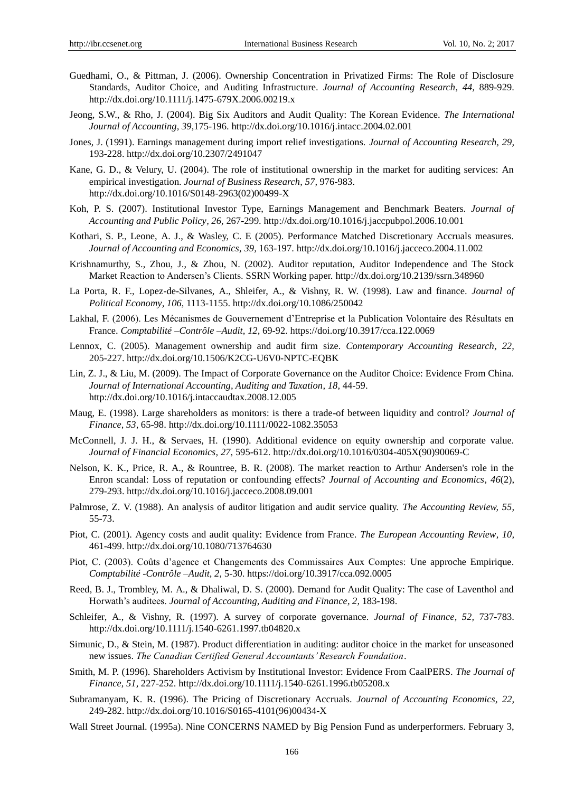- Guedhami, O., & Pittman, J. (2006). Ownership Concentration in Privatized Firms: The Role of Disclosure Standards, Auditor Choice, and Auditing Infrastructure. *Journal of Accounting Research, 44,* 889-929. <http://dx.doi.org/10.1111/j.1475-679X.2006.00219.x>
- Jeong, S.W., & Rho, J. (2004). Big Six Auditors and Audit Quality: The Korean Evidence. *The International Journal of Accounting, 39,*175-196.<http://dx.doi.org/10.1016/j.intacc.2004.02.001>
- Jones, J. (1991). Earnings management during import relief investigations. *Journal of Accounting Research, 29,*  193-228.<http://dx.doi.org/10.2307/2491047>
- Kane, G. D., & Velury, U. (2004). The role of institutional ownership in the market for auditing services: An empirical investigation. *Journal of Business Research, 57,* 976-983. [http://dx.doi.org/10.1016/S0148-2963\(02\)00499-X](http://dx.doi.org/10.1016/S0148-2963(02)00499-X)
- Koh, P. S. (2007). Institutional Investor Type, Earnings Management and Benchmark Beaters. *Journal of Accounting and Public Policy, 26,* 267-299.<http://dx.doi.org/10.1016/j.jaccpubpol.2006.10.001>
- Kothari, S. P., Leone, A. J., & Wasley, C. E (2005). Performance Matched Discretionary Accruals measures. *Journal of Accounting and Economics, 39,* 163-197[. http://dx.doi.org/10.1016/j.jacceco.2004.11.002](http://dx.doi.org/10.1016/j.jacceco.2004.11.002)
- Krishnamurthy, S., Zhou, J., & Zhou, N. (2002). Auditor reputation, Auditor Independence and The Stock Market Reaction to Andersen's Clients. SSRN Working paper. http://dx.doi.org/10.2139/ssrn.348960
- La Porta, R. F., Lopez-de-Silvanes, A., Shleifer, A., & Vishny, R. W. (1998). Law and finance. *Journal of Political Economy, 106,* 1113-1155.<http://dx.doi.org/10.1086/250042>
- Lakhal, F. (2006). Les Mécanismes de Gouvernement d'Entreprise et la Publication Volontaire des Résultats en France. *Comptabilité –Contrôle –Audit, 12,* 69-92. https://doi.org/10.3917/cca.122.0069
- Lennox, C. (2005). Management ownership and audit firm size. *Contemporary Accounting Research, 22,* 205-227.<http://dx.doi.org/10.1506/K2CG-U6V0-NPTC-EQBK>
- Lin, Z. J., & Liu, M. (2009). The Impact of Corporate Governance on the Auditor Choice: Evidence From China. *Journal of International Accounting, Auditing and Taxation, 18,* 44-59. <http://dx.doi.org/10.1016/j.intaccaudtax.2008.12.005>
- Maug, E. (1998). Large shareholders as monitors: is there a trade-of between liquidity and control? *Journal of Finance, 53,* 65-98.<http://dx.doi.org/10.1111/0022-1082.35053>
- McConnell, J. J. H., & Servaes, H. (1990). Additional evidence on equity ownership and corporate value. *Journal of Financial Economics, 27,* 595-612[. http://dx.doi.org/10.1016/0304-405X\(90\)90069-C](http://dx.doi.org/10.1016/0304-405X(90)90069-C)
- Nelson, K. K., Price, R. A., & Rountree, B. R. (2008). The market reaction to Arthur Andersen's role in the Enron scandal: Loss of reputation or confounding effects? *Journal of Accounting and Economics, 46*(2), 279-293.<http://dx.doi.org/10.1016/j.jacceco.2008.09.001>
- Palmrose, Z. V. (1988). An analysis of auditor litigation and audit service quality. *The Accounting Review, 55,*  55-73.
- Piot, C. (2001). Agency costs and audit quality: Evidence from France. *The European Accounting Review, 10,*  461-499.<http://dx.doi.org/10.1080/713764630>
- Piot, C. (2003). Coûts d'agence et Changements des Commissaires Aux Comptes: Une approche Empirique. *Comptabilité -Contrôle –Audit, 2,* 5-30. https://doi.org/10.3917/cca.092.0005
- Reed, B. J., Trombley, M. A., & Dhaliwal, D. S. (2000). Demand for Audit Quality: The case of Laventhol and Horwath's auditees. *Journal of Accounting, Auditing and Finance, 2,* 183-198.
- Schleifer, A., & Vishny, R. (1997). A survey of corporate governance. *Journal of Finance, 52,* 737-783. <http://dx.doi.org/10.1111/j.1540-6261.1997.tb04820.x>
- Simunic, D., & Stein, M. (1987). Product differentiation in auditing: auditor choice in the market for unseasoned new issues. *The Canadian Certified General Accountants' Research Foundation*.
- Smith, M. P. (1996). Shareholders Activism by Institutional Investor: Evidence From CaalPERS. *The Journal of Finance, 51,* 227-252.<http://dx.doi.org/10.1111/j.1540-6261.1996.tb05208.x>
- Subramanyam, K. R. (1996). The Pricing of Discretionary Accruals. *Journal of Accounting Economics, 22,*  249-282. [http://dx.doi.org/10.1016/S0165-4101\(96\)00434-X](http://dx.doi.org/10.1016/S0165-4101(96)00434-X)
- Wall Street Journal. (1995a). Nine CONCERNS NAMED by Big Pension Fund as underperformers. February 3,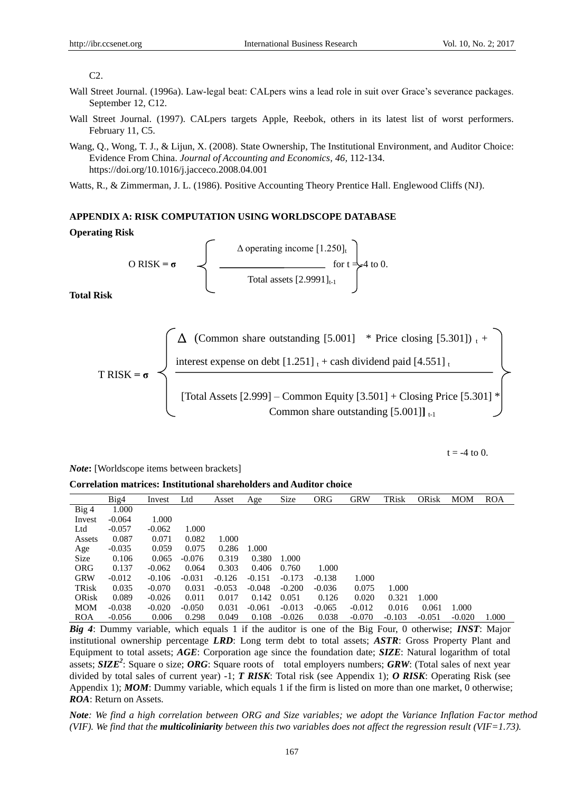#### $C2.$

- Wall Street Journal. (1996a). Law-legal beat: CALpers wins a lead role in suit over Grace's severance packages. September 12, C12.
- Wall Street Journal. (1997). CALpers targets Apple, Reebok, others in its latest list of worst performers. February 11, C5.
- Wang, Q., Wong, T. J., & Lijun, X. (2008). State Ownership, The Institutional Environment, and Auditor Choice: Evidence From China. *Journal of Accounting and Economics, 46,* 112-134. https://doi.org/10.1016/j.jacceco.2008.04.001

Watts, R., & Zimmerman, J. L. (1986). Positive Accounting Theory Prentice Hall. Englewood Cliffs (NJ).

# **APPENDIX A: RISK COMPUTATION USING WORLDSCOPE DATABASE**

## **Operating Risk**

$$
O RISK = \sigma
$$
\n
$$
\Delta \text{ operating income [1.250]_t} \text{ for t } = 4 \text{ to 0.}
$$
\n
$$
Total assets [2.9991]_{t-1}
$$

**Total Risk**

$$
T RISK = \sigma
$$
\n
$$
T RISK = \sigma
$$
\n
$$
T RISK = \sigma
$$
\n
$$
T RISK = \sigma
$$
\n
$$
T RISK = \sigma
$$
\n
$$
T RISK = \sigma
$$
\n
$$
T total Assets [2.999] - Common Equity [3.501] + Closing Price [5.301] * Common share outstanding [5.001]]t-1
$$

 $t = -4$  to 0.

*Note***:** [Worldscope items between brackets]

**Correlation matrices: Institutional shareholders and Auditor choice**

|              | Big4     | Invest   | Ltd      | Asset    | Age      | Size     | <b>ORG</b> | <b>GRW</b> | TRisk    | ORisk    | <b>MOM</b> | <b>ROA</b> |
|--------------|----------|----------|----------|----------|----------|----------|------------|------------|----------|----------|------------|------------|
| Big 4        | 1.000    |          |          |          |          |          |            |            |          |          |            |            |
| Invest       | $-0.064$ | 1.000    |          |          |          |          |            |            |          |          |            |            |
| Ltd          | $-0.057$ | $-0.062$ | 1.000    |          |          |          |            |            |          |          |            |            |
| Assets       | 0.087    | 0.071    | 0.082    | 1.000    |          |          |            |            |          |          |            |            |
| Age          | $-0.035$ | 0.059    | 0.075    | 0.286    | 1.000    |          |            |            |          |          |            |            |
| Size         | 0.106    | 0.065    | $-0.076$ | 0.319    | 0.380    | 1.000    |            |            |          |          |            |            |
| <b>ORG</b>   | 0.137    | $-0.062$ | 0.064    | 0.303    | 0.406    | 0.760    | 1.000      |            |          |          |            |            |
| <b>GRW</b>   | $-0.012$ | $-0.106$ | $-0.031$ | $-0.126$ | $-0.151$ | $-0.173$ | $-0.138$   | 1.000      |          |          |            |            |
| <b>TRisk</b> | 0.035    | $-0.070$ | 0.031    | $-0.053$ | $-0.048$ | $-0.200$ | $-0.036$   | 0.075      | 1.000    |          |            |            |
| ORisk        | 0.089    | $-0.026$ | 0.011    | 0.017    | 0.142    | 0.051    | 0.126      | 0.020      | 0.321    | 1.000    |            |            |
| <b>MOM</b>   | $-0.038$ | $-0.020$ | $-0.050$ | 0.031    | $-0.061$ | $-0.013$ | $-0.065$   | $-0.012$   | 0.016    | 0.061    | 1.000      |            |
| <b>ROA</b>   | $-0.056$ | 0.006    | 0.298    | 0.049    | 0.108    | $-0.026$ | 0.038      | $-0.070$   | $-0.103$ | $-0.051$ | $-0.020$   | 1.000      |

*Big 4*: Dummy variable, which equals 1 if the auditor is one of the Big Four, 0 otherwise; *INST*: Major institutional ownership percentage *LRD*: Long term debt to total assets; *ASTR*: Gross Property Plant and Equipment to total assets; *AGE*: Corporation age since the foundation date; *SIZE*: Natural logarithm of total assets; *SIZE*<sup>2</sup>: Square o size; ORG: Square roots of total employers numbers; GRW: (Total sales of next year divided by total sales of current year) -1; *T RISK*: Total risk (see Appendix 1); *O RISK*: Operating Risk (see Appendix 1); *MOM*: Dummy variable, which equals 1 if the firm is listed on more than one market, 0 otherwise; *ROA*: Return on Assets.

*Note: We find a high correlation between ORG and Size variables; we adopt the Variance Inflation Factor method (VIF). We find that the multicoliniarity between this two variables does not affect the regression result (VIF=1.73).*